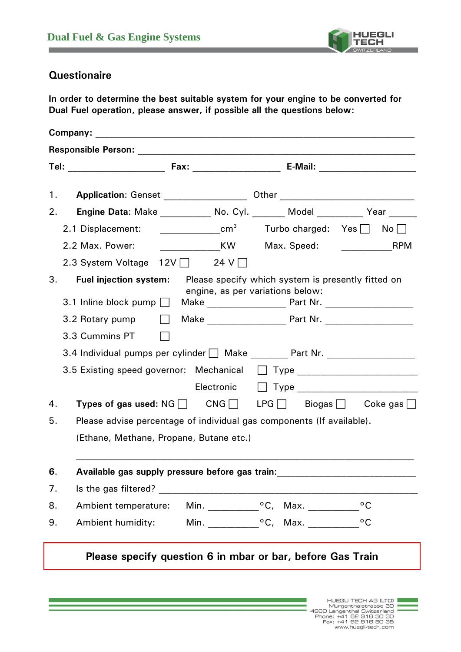

## **Questionaire**

**In order to determine the best suitable system for your engine to be converted for Dual Fuel operation, please answer, if possible all the questions below:** 

| Application: Genset ____________________ Other _________________________________<br>1.        |                               |                                  |                                   |
|-----------------------------------------------------------------------------------------------|-------------------------------|----------------------------------|-----------------------------------|
| Engine Data: Make ____________ No. Cyl. _______ Model _________ Year ______<br>2.             |                               |                                  |                                   |
| 2.1 Displacement:                                                                             | $\frac{1}{2}$ cm <sup>3</sup> |                                  | Turbo charged: $Yes \Box No \Box$ |
| 2.2 Max. Power:                                                                               |                               |                                  | <b>Example 18 RPM</b>             |
| 2.3 System Voltage $12V$ 24 V                                                                 |                               |                                  |                                   |
| 3.<br><b>Fuel injection system:</b> Please specify which system is presently fitted on        |                               | engine, as per variations below: |                                   |
| 3.2 Rotary pump<br>$\Box$                                                                     |                               |                                  |                                   |
| 3.3 Cummins PT                                                                                |                               |                                  |                                   |
| 3.4 Individual pumps per cylinder Make ________ Part Nr. _______________________              |                               |                                  |                                   |
| 3.5 Existing speed governor: Mechanical                                                       |                               |                                  |                                   |
|                                                                                               | Electronic                    |                                  |                                   |
| <b>Types of gas used:</b> NG $\Box$ CNG $\Box$ LPG $\Box$ Biogas $\Box$ Coke gas $\Box$<br>4. |                               |                                  |                                   |
| Please advise percentage of individual gas components (If available).<br>5.                   |                               |                                  |                                   |
| (Ethane, Methane, Propane, Butane etc.)                                                       |                               |                                  |                                   |
| 6.<br>Available gas supply pressure before gas train:                                         |                               |                                  |                                   |
| 7.                                                                                            |                               |                                  |                                   |
| 8.<br>Ambient temperature:                                                                    |                               |                                  | $^{\circ}$ C                      |
| 9.<br>Ambient humidity:                                                                       |                               |                                  | $^{\circ}$ C                      |
| Please specify question 6 in mbar or bar, before Gas Train                                    |                               |                                  |                                   |
|                                                                                               |                               |                                  |                                   |
|                                                                                               |                               |                                  |                                   |

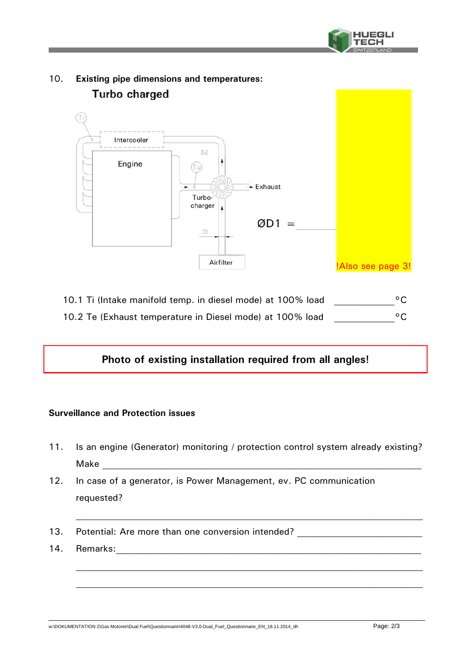



10. **Existing pipe dimensions and temperatures:** Turbo charged

10.1 Ti (Intake manifold temp. in diesel mode) at 100% load  $^{\circ}$ C 10.2 Te (Exhaust temperature in Diesel mode) at 100% load  $^{\circ}$ C

## **Photo of existing installation required from all angles!**

## **Surveillance and Protection issues**

- 11. Is an engine (Generator) monitoring / protection control system already existing? Make  $\Box$
- 12. In case of a generator, is Power Management, ev. PC communication requested?
- 13. Potential: Are more than one conversion intended?
- 14. Remarks: 2008. 2009. 2009. 2009. 2014. 2020. 2020. 2020. 2020. 2020. 2020. 2020. 2020. 2020. 2020. 2020. 20